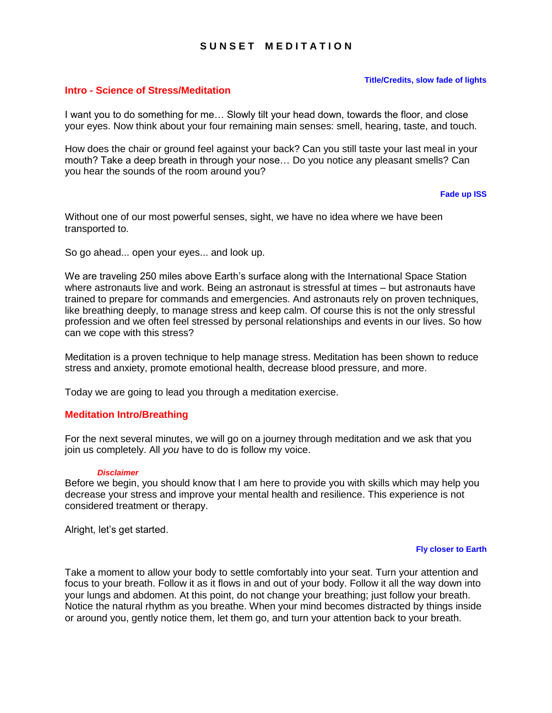# **S U N S E T M E D I T A T I O N**

### **Title/Credits, slow fade of lights**

## **Intro - Science of Stress/Meditation**

I want you to do something for me… Slowly tilt your head down, towards the floor, and close your eyes. Now think about your four remaining main senses: smell, hearing, taste, and touch.

How does the chair or ground feel against your back? Can you still taste your last meal in your mouth? Take a deep breath in through your nose… Do you notice any pleasant smells? Can you hear the sounds of the room around you?

### **Fade up ISS**

Without one of our most powerful senses, sight, we have no idea where we have been transported to.

So go ahead... open your eyes... and look up.

We are traveling 250 miles above Earth's surface along with the International Space Station where astronauts live and work. Being an astronaut is stressful at times – but astronauts have trained to prepare for commands and emergencies. And astronauts rely on proven techniques, like breathing deeply, to manage stress and keep calm. Of course this is not the only stressful profession and we often feel stressed by personal relationships and events in our lives. So how can we cope with this stress?

Meditation is a proven technique to help manage stress. Meditation has been shown to reduce stress and anxiety, promote emotional health, decrease blood pressure, and more.

Today we are going to lead you through a meditation exercise.

## **Meditation Intro/Breathing**

For the next several minutes, we will go on a journey through meditation and we ask that you join us completely. All *you* have to do is follow my voice.

### *Disclaimer*

Before we begin, you should know that I am here to provide you with skills which may help you decrease your stress and improve your mental health and resilience. This experience is not considered treatment or therapy.

Alright, let's get started.

### **Fly closer to Earth**

Take a moment to allow your body to settle comfortably into your seat. Turn your attention and focus to your breath. Follow it as it flows in and out of your body. Follow it all the way down into your lungs and abdomen. At this point, do not change your breathing; just follow your breath. Notice the natural rhythm as you breathe. When your mind becomes distracted by things inside or around you, gently notice them, let them go, and turn your attention back to your breath.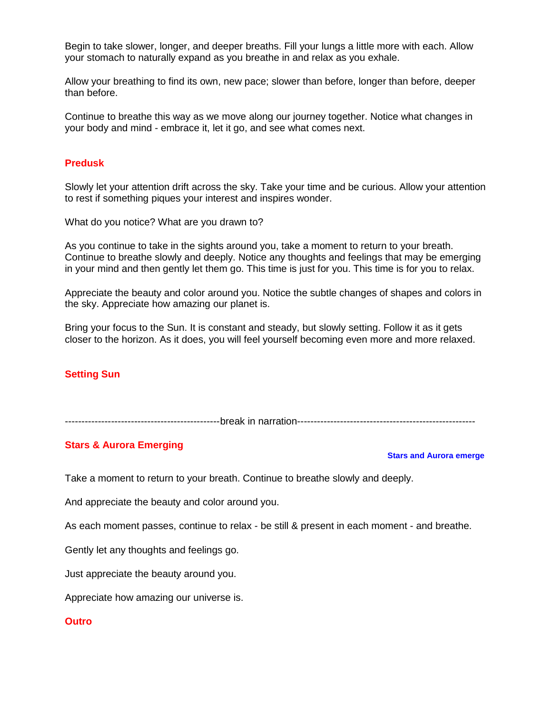Begin to take slower, longer, and deeper breaths. Fill your lungs a little more with each. Allow your stomach to naturally expand as you breathe in and relax as you exhale.

Allow your breathing to find its own, new pace; slower than before, longer than before, deeper than before.

Continue to breathe this way as we move along our journey together. Notice what changes in your body and mind - embrace it, let it go, and see what comes next.

# **Predusk**

Slowly let your attention drift across the sky. Take your time and be curious. Allow your attention to rest if something piques your interest and inspires wonder.

What do you notice? What are you drawn to?

As you continue to take in the sights around you, take a moment to return to your breath. Continue to breathe slowly and deeply. Notice any thoughts and feelings that may be emerging in your mind and then gently let them go. This time is just for you. This time is for you to relax.

Appreciate the beauty and color around you. Notice the subtle changes of shapes and colors in the sky. Appreciate how amazing our planet is.

Bring your focus to the Sun. It is constant and steady, but slowly setting. Follow it as it gets closer to the horizon. As it does, you will feel yourself becoming even more and more relaxed.

## **Setting Sun**

-----------------------------------------------break in narration------------------------------------------------------

## **Stars & Aurora Emerging**

### **Stars and Aurora emerge**

Take a moment to return to your breath. Continue to breathe slowly and deeply.

And appreciate the beauty and color around you.

As each moment passes, continue to relax - be still & present in each moment - and breathe.

Gently let any thoughts and feelings go.

Just appreciate the beauty around you.

Appreciate how amazing our universe is.

### **Outro**